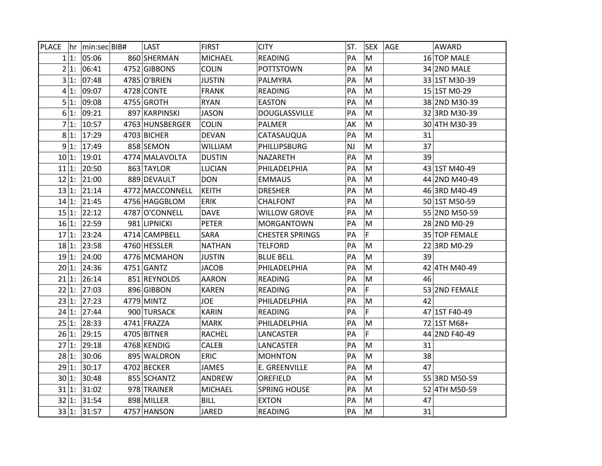| <b>PLACE</b> |          | hr min:secBIB# | LAST            | <b>FIRST</b>   | <b>CITY</b>            | ST. | <b>SEX</b> | <b>AGE</b><br><b>AWARD</b> |
|--------------|----------|----------------|-----------------|----------------|------------------------|-----|------------|----------------------------|
|              | $1 1$ :  | 05:06          | 860 SHERMAN     | <b>MICHAEL</b> | READING                | PA  | M          | 16 TOP MALE                |
|              | 21:      | 06:41          | 4752 GIBBONS    | <b>COLIN</b>   | <b>POTTSTOWN</b>       | PA  | M          | 34 2ND MALE                |
|              | $3 1$ :  | 07:48          | 4785 O'BRIEN    | <b>JUSTIN</b>  | <b>PALMYRA</b>         | PA  | M          | 33 1ST M30-39              |
|              | 41:      | 09:07          | 4728 CONTE      | <b>FRANK</b>   | <b>READING</b>         | PA  | M          | 15 1ST M0-29               |
|              | 5 1:     | 09:08          | 4755 GROTH      | <b>RYAN</b>    | <b>EASTON</b>          | PA  | M          | 38 2ND M30-39              |
|              | $6 1$ :  | 09:21          | 897 KARPINSKI   | <b>JASON</b>   | <b>DOUGLASSVILLE</b>   | PA  | M          | 32 3RD M30-39              |
|              | 7 1:     | 10:57          | 4763 HUNSBERGER | <b>COLIN</b>   | <b>PALMER</b>          | AK  | M          | 30 4TH M30-39              |
|              | $8 1$ :  | 17:29          | 4703 BICHER     | <b>DEVAN</b>   | CATASAUQUA             | PA  | M          | 31                         |
|              | 9 1:     | 17:49          | 858 SEMON       | <b>WILLIAM</b> | PHILLIPSBURG           | NJ  | M          | 37                         |
|              | 10 1:    | 19:01          | 4774 MALAVOLTA  | <b>DUSTIN</b>  | <b>NAZARETH</b>        | PA  | M          | 39                         |
| 11 1:        |          | 20:50          | 863 TAYLOR      | <b>LUCIAN</b>  | PHILADELPHIA           | PA  | ${\sf M}$  | 43 1ST M40-49              |
| 12 1:        |          | 21:00          | 889 DEVAULT     | <b>DON</b>     | <b>EMMAUS</b>          | PA  | M          | 44 2ND M40-49              |
|              | 13 1:    | 21:14          | 4772 MACCONNELL | <b>KEITH</b>   | <b>DRESHER</b>         | PA  | M          | 46 3RD M40-49              |
|              | 14 1:    | 21:45          | 4756 HAGGBLOM   | <b>ERIK</b>    | CHALFONT               | PA  | M          | 50 1ST M50-59              |
|              | 15 1:    | 22:12          | 4787 O'CONNELL  | <b>DAVE</b>    | <b>WILLOW GROVE</b>    | PА  | M          | 55 2ND M50-59              |
|              | 16 1:    | 22:59          | 981 LIPNICKI    | <b>PETER</b>   | MORGANTOWN             | PA  | M          | 28 2ND M0-29               |
| 17 1:        |          | 23:24          | 4714 CAMPBELL   | SARA           | <b>CHESTER SPRINGS</b> | PA  | F          | 35 TOP FEMALE              |
| 18 1:        |          | 23:58          | 4760 HESSLER    | NATHAN         | <b>TELFORD</b>         | PА  | M          | 22 3RD M0-29               |
|              | 19 1:    | 24:00          | 4776 MCMAHON    | <b>JUSTIN</b>  | <b>BLUE BELL</b>       | PA  | M          | 39                         |
|              | 20 1:    | 24:36          | 4751 GANTZ      | <b>JACOB</b>   | PHILADELPHIA           | PA  | ${\sf M}$  | 42 4TH M40-49              |
|              | 21 1:    | 26:14          | 851 REYNOLDS    | <b>AARON</b>   | <b>READING</b>         | PA  | M          | 46                         |
|              | 22 1:    | 27:03          | 896 GIBBON      | <b>KAREN</b>   | <b>READING</b>         | PA  | F          | 53 2ND FEMALE              |
| 23 1:        |          | 27:23          | 4779 MINTZ      | <b>JOE</b>     | PHILADELPHIA           | PA  | M          | 42                         |
| 24 1:        |          | 27:44          | 900 TURSACK     | <b>KARIN</b>   | <b>READING</b>         | PA  | F          | 47 1ST F40-49              |
|              | 25 1:    | 28:33          | 4741 FRAZZA     | <b>MARK</b>    | PHILADELPHIA           | PA  | M          | 72 1ST M68+                |
|              | 26 1:    | 29:15          | 4705 BITNER     | <b>RACHEL</b>  | LANCASTER              | PА  | F          | 44 2ND F40-49              |
|              | 27 1:    | 29:18          | 4768 KENDIG     | CALEB          | LANCASTER              | PA  | M          | 31                         |
|              | 28 1:    | 30:06          | 895 WALDRON     | <b>ERIC</b>    | <b>MOHNTON</b>         | PA  | ${\sf M}$  | 38                         |
| 29 1:        |          | 30:17          | 4702 BECKER     | <b>JAMES</b>   | E. GREENVILLE          | PA  | M          | 47                         |
| 30 1:        |          | 30:48          | 855 SCHANTZ     | ANDREW         | OREFIELD               | PA  | M          | 55 3RD M50-59              |
|              | 31 1:    | 31:02          | 978 TRAINER     | <b>MICHAEL</b> | <b>SPRING HOUSE</b>    | PA  | M          | 52 4TH M50-59              |
|              | 32 1:    | 31:54          | 898 MILLER      | <b>BILL</b>    | <b>EXTON</b>           | PА  | M          | 47                         |
|              | $33 1$ : | 31:57          | 4757 HANSON     | <b>JARED</b>   | <b>READING</b>         | PA  | M          | 31                         |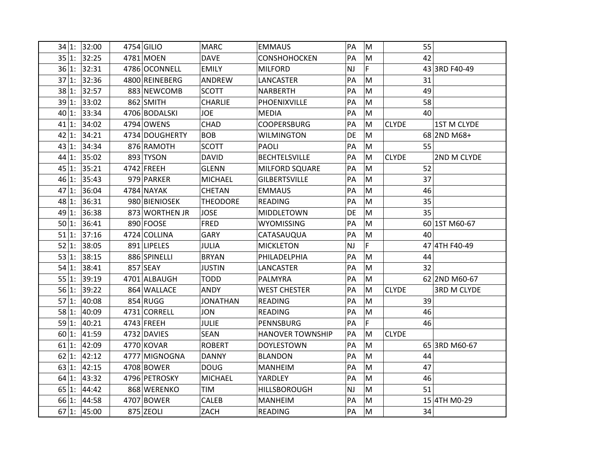| 34 1:    | 32:00 | 4754 GILIO     | <b>MARC</b>     | <b>EMMAUS</b>           | PA        | M         | 55           |               |
|----------|-------|----------------|-----------------|-------------------------|-----------|-----------|--------------|---------------|
| 35 1:    | 32:25 | 4781 MOEN      | <b>DAVE</b>     | <b>CONSHOHOCKEN</b>     | PA        | M         | 42           |               |
| $36 1$ : | 32:31 | 4786 OCONNELL  | <b>EMILY</b>    | <b>MILFORD</b>          | <b>NJ</b> | F         |              | 43 3RD F40-49 |
| 37 1:    | 32:36 | 4800 REINEBERG | ANDREW          | LANCASTER               | PA        | M         | 31           |               |
| 38 1:    | 32:57 | 883 NEWCOMB    | <b>SCOTT</b>    | NARBERTH                | PA        | M         | 49           |               |
| 39 1:    | 33:02 | 862 SMITH      | <b>CHARLIE</b>  | PHOENIXVILLE            | PA        | M         | 58           |               |
| $40 1$ : | 33:34 | 4706 BODALSKI  | <b>JOE</b>      | <b>MEDIA</b>            | PA        | M         | 40           |               |
| $41 1$ : | 34:02 | 4794 OWENS     | CHAD            | <b>COOPERSBURG</b>      | PA        | M         | <b>CLYDE</b> | 1ST M CLYDE   |
| $42 1$ : | 34:21 | 4734 DOUGHERTY | <b>BOB</b>      | <b>WILMINGTON</b>       | DE        | ${\sf M}$ |              | 68 2ND M68+   |
| 43 1:    | 34:34 | 876 RAMOTH     | <b>SCOTT</b>    | <b>PAOLI</b>            | PA        | M         | 55           |               |
| 44 1:    | 35:02 | 893 TYSON      | <b>DAVID</b>    | <b>BECHTELSVILLE</b>    | PA        | M         | <b>CLYDE</b> | 2ND M CLYDE   |
| 45 1:    | 35:21 | 4742 FREEH     | <b>GLENN</b>    | MILFORD SQUARE          | PA        | M         | 52           |               |
| 46 1:    | 35:43 | 979 PARKER     | <b>MICHAEL</b>  | <b>GILBERTSVILLE</b>    | PA        | M         | 37           |               |
| 47 1:    | 36:04 | 4784 NAYAK     | CHETAN          | <b>EMMAUS</b>           | PA        | M         | 46           |               |
| $48 1$ : | 36:31 | 980 BIENIOSEK  | <b>THEODORE</b> | <b>READING</b>          | PA        | M         | 35           |               |
| 49 1:    | 36:38 | 873 WORTHEN JR | <b>JOSE</b>     | MIDDLETOWN              | DE        | M         | 35           |               |
| 50 1:    | 36:41 | 890 FOOSE      | <b>FRED</b>     | <b>WYOMISSING</b>       | PA        | M         |              | 60 1ST M60-67 |
| 51 1:    | 37:16 | 4724 COLLINA   | GARY            | CATASAUQUA              | PA        | M         | 40           |               |
| 52 1:    | 38:05 | 891 LIPELES    | <b>JULIA</b>    | <b>MICKLETON</b>        | NJ        | F         |              | 47 4TH F40-49 |
| 53 1:    | 38:15 | 886 SPINELLI   | <b>BRYAN</b>    | PHILADELPHIA            | PA        | M         | 44           |               |
| 54 1:    | 38:41 | 857 SEAY       | <b>JUSTIN</b>   | LANCASTER               | PA        | M         | 32           |               |
| 55 1:    | 39:19 | 4701 ALBAUGH   | <b>TODD</b>     | PALMYRA                 | PA        | M         |              | 62 2ND M60-67 |
| $56 1$ : | 39:22 | 864 WALLACE    | <b>ANDY</b>     | <b>WEST CHESTER</b>     | PA        | M         | <b>CLYDE</b> | 3RD M CLYDE   |
| 57 1:    | 40:08 | 854 RUGG       | <b>JONATHAN</b> | <b>READING</b>          | PA        | M         | 39           |               |
| 58 1:    | 40:09 | 4731 CORRELL   | <b>JON</b>      | <b>READING</b>          | PA        | M         | 46           |               |
| 59 1:    | 40:21 | 4743 FREEH     | <b>JULIE</b>    | PENNSBURG               | PA        | F         | 46           |               |
| 60 1:    | 41:59 | 4732 DAVIES    | <b>SEAN</b>     | <b>HANOVER TOWNSHIP</b> | PA        | M         | <b>CLYDE</b> |               |
| 61 1:    | 42:09 | 4770 KOVAR     | <b>ROBERT</b>   | <b>DOYLESTOWN</b>       | PA        | M         |              | 65 3RD M60-67 |
| 62 1:    | 42:12 | 4777 MIGNOGNA  | <b>DANNY</b>    | <b>BLANDON</b>          | PA        | M         | 44           |               |
| 63 1:    | 42:15 | 4708 BOWER     | <b>DOUG</b>     | <b>MANHEIM</b>          | PA        | M         | 47           |               |
| $64 1$ : | 43:32 | 4796 PETROSKY  | <b>MICHAEL</b>  | YARDLEY                 | PA        | M         | 46           |               |
| 65 1:    | 44:42 | 868 WERENKO    | <b>TIM</b>      | <b>HILLSBOROUGH</b>     | <b>NJ</b> | M         | 51           |               |
| 66 1:    | 44:58 | 4707 BOWER     | CALEB           | <b>MANHEIM</b>          | PA        | M         |              | 15 4TH M0-29  |
| 67 1:    | 45:00 | 875 ZEOLI      | ZACH            | <b>READING</b>          | PA        | M         | 34           |               |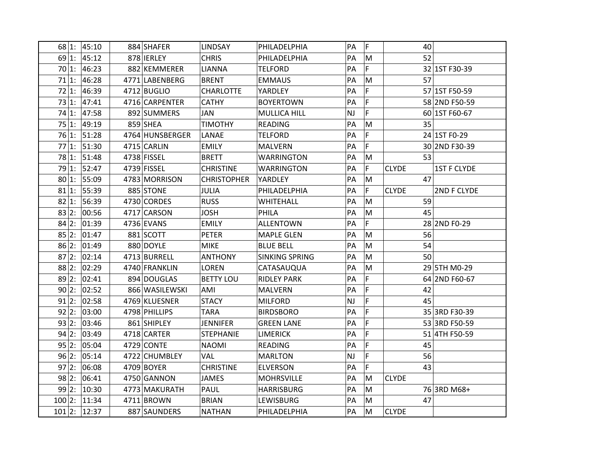| 68 1:    | 45:10 | 884 SHAFER      | <b>LINDSAY</b>     | PHILADELPHIA          | PA        | F           | 40           |                    |
|----------|-------|-----------------|--------------------|-----------------------|-----------|-------------|--------------|--------------------|
| 69 1:    | 45:12 | 878 IERLEY      | <b>CHRIS</b>       | PHILADELPHIA          | PA        | M           | 52           |                    |
| 70 1:    | 46:23 | 882 KEMMERER    | <b>LIANNA</b>      | <b>TELFORD</b>        | PA        | F           |              | 32 1ST F30-39      |
| 71 1:    | 46:28 | 4771 LABENBERG  | <b>BRENT</b>       | <b>EMMAUS</b>         | PA        | M           | 57           |                    |
| 72 1:    | 46:39 | 4712 BUGLIO     | <b>CHARLOTTE</b>   | YARDLEY               | PA        | F           |              | 57 1ST F50-59      |
| 73 1:    | 47:41 | 4716 CARPENTER  | <b>CATHY</b>       | <b>BOYERTOWN</b>      | PA        | F           |              | 58 2ND F50-59      |
| 74 1:    | 47:58 | 892 SUMMERS     | JAN                | MULLICA HILL          | <b>NJ</b> | F           |              | 60 1ST F60-67      |
| 75 1:    | 49:19 | 859 SHEA        | <b>TIMOTHY</b>     | READING               | PA        | M           | 35           |                    |
| 76 1:    | 51:28 | 4764 HUNSBERGER | LANAE              | <b>TELFORD</b>        | PA        | F           |              | 24 1ST F0-29       |
| 77 1:    | 51:30 | 4715 CARLIN     | <b>EMILY</b>       | <b>MALVERN</b>        | PA        | F           |              | 30 2ND F30-39      |
| 78 1:    | 51:48 | 4738 FISSEL     | <b>BRETT</b>       | <b>WARRINGTON</b>     | PA        | M           | 53           |                    |
| 79 1:    | 52:47 | 4739 FISSEL     | <b>CHRISTINE</b>   | <b>WARRINGTON</b>     | PA        | F           | <b>CLYDE</b> | <b>1ST F CLYDE</b> |
| 80 1:    | 55:09 | 4783 MORRISON   | <b>CHRISTOPHER</b> | YARDLEY               | PA        | M           | 47           |                    |
| 81 1:    | 55:39 | 885 STONE       | <b>JULIA</b>       | PHILADELPHIA          | PA        | F           | <b>CLYDE</b> | 2ND F CLYDE        |
| 82 1:    | 56:39 | 4730 CORDES     | <b>RUSS</b>        | WHITEHALL             | PA        | M           | 59           |                    |
| 83 2:    | 00:56 | 4717 CARSON     | <b>JOSH</b>        | PHILA                 | PA        | M           | 45           |                    |
| 84 2:    | 01:39 | 4736 EVANS      | <b>EMILY</b>       | <b>ALLENTOWN</b>      | PA        | F           |              | 28 2ND F0-29       |
| 85 2:    | 01:47 | 881 SCOTT       | <b>PETER</b>       | <b>MAPLE GLEN</b>     | PA        | M           | 56           |                    |
| 86 2:    | 01:49 | 880 DOYLE       | <b>MIKE</b>        | <b>BLUE BELL</b>      | PA        | M           | 54           |                    |
| 87 2:    | 02:14 | 4713 BURRELL    | <b>ANTHONY</b>     | <b>SINKING SPRING</b> | PA        | M           | 50           |                    |
| 88 2:    | 02:29 | 4740 FRANKLIN   | <b>LOREN</b>       | CATASAUQUA            | PA        | M           |              | 29 5TH M0-29       |
| 89 2:    | 02:41 | 894 DOUGLAS     | <b>BETTY LOU</b>   | <b>RIDLEY PARK</b>    | PA        | $\mathsf F$ |              | 64 2ND F60-67      |
| 90 2:    | 02:52 | 866 WASILEWSKI  | AMI                | <b>MALVERN</b>        | PA        | F           | 42           |                    |
| 91 2:    | 02:58 | 4769 KLUESNER   | <b>STACY</b>       | <b>MILFORD</b>        | NJ        | F           | 45           |                    |
| 92 2:    | 03:00 | 4798 PHILLIPS   | <b>TARA</b>        | <b>BIRDSBORO</b>      | PA        | F           |              | 35 3RD F30-39      |
| 93 2:    | 03:46 | 861 SHIPLEY     | <b>JENNIFER</b>    | <b>GREEN LANE</b>     | PA        | F           |              | 53 3RD F50-59      |
| 94 2:    | 03:49 | 4718 CARTER     | <b>STEPHANIE</b>   | <b>LIMERICK</b>       | PA        | F           |              | 51 4TH F50-59      |
| 95 2:    | 05:04 | 4729 CONTE      | <b>NAOMI</b>       | READING               | PA        | F           | 45           |                    |
| 96 2:    | 05:14 | 4722 CHUMBLEY   | VAL                | <b>MARLTON</b>        | NJ        | F           | 56           |                    |
| 97 2:    | 06:08 | 4709 BOYER      | <b>CHRISTINE</b>   | <b>ELVERSON</b>       | PA        | F           | 43           |                    |
| 98 2:    | 06:41 | 4750 GANNON     | <b>JAMES</b>       | <b>MOHRSVILLE</b>     | PA        | M           | <b>CLYDE</b> |                    |
| 99 2:    | 10:30 | 4773 MAKURATH   | PAUL               | <b>HARRISBURG</b>     | PA        | M           |              | 76 3RD M68+        |
| 100 2:   | 11:34 | 4711 BROWN      | <b>BRIAN</b>       | LEWISBURG             | PA        | M           | 47           |                    |
| $101$ 2: | 12:37 | 887 SAUNDERS    | <b>NATHAN</b>      | PHILADELPHIA          | PA        | М           | <b>CLYDE</b> |                    |